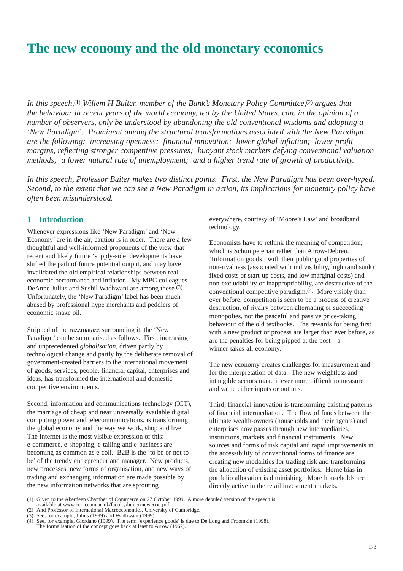# **The new economy and the old monetary economics**

*In this speech,*(1) *Willem H Buiter, member of the Bank's Monetary Policy Committee,*(2) *argues that the behaviour in recent years of the world economy, led by the United States, can, in the opinion of a number of observers, only be understood by abandoning the old conventional wisdoms and adopting a 'New Paradigm'. Prominent among the structural transformations associated with the New Paradigm are the following: increasing openness; financial innovation; lower global inflation; lower profit margins, reflecting stronger competitive pressures; buoyant stock markets defying conventional valuation methods; a lower natural rate of unemployment; and a higher trend rate of growth of productivity.*

*In this speech, Professor Buiter makes two distinct points. First, the New Paradigm has been over-hyped. Second, to the extent that we can see a New Paradigm in action, its implications for monetary policy have often been misunderstood.*

# **1 Introduction**

Whenever expressions like 'New Paradigm' and 'New Economy' are in the air, caution is in order. There are a few thoughtful and well-informed proponents of the view that recent and likely future 'supply-side' developments have shifted the path of future potential output, and may have invalidated the old empirical relationships between real economic performance and inflation. My MPC colleagues DeAnne Julius and Sushil Wadhwani are among these.(3) Unfortunately, the 'New Paradigm' label has been much abused by professional hype merchants and peddlers of economic snake oil.

Stripped of the razzmatazz surrounding it, the 'New Paradigm' can be summarised as follows. First, increasing and unprecedented *globalisation*, driven partly by technological change and partly by the deliberate removal of government-created barriers to the international movement of goods, services, people, financial capital, enterprises and ideas, has transformed the international and domestic competitive environments.

Second, information and communications technology (ICT), the marriage of cheap and near universally available digital computing power and telecommunications, is transforming the global economy and the way we work, shop and live. The Internet is the most visible expression of this: e-commerce, e-shopping, e-tailing and e-business are becoming as common as e-coli. B2B is the 'to be or not to be' of the trendy entrepreneur and manager. New products, new processes, new forms of organisation, and new ways of trading and exchanging information are made possible by the new information networks that are sprouting

everywhere, courtesy of 'Moore's Law' and broadband technology.

Economists have to rethink the meaning of competition, which is Schumpeterian rather than Arrow-Debreu. 'Information goods', with their public good properties of non-rivalness (associated with indivisibility, high (and sunk) fixed costs or start-up costs, and low marginal costs) and non-excludability or inappropriability, are destructive of the conventional competitive paradigm.(4) More visibly than ever before, competition is seen to be a process of creative destruction, of rivalry between alternating or succeeding monopolies, not the peaceful and passive price-taking behaviour of the old textbooks. The rewards for being first with a new product or process are larger than ever before, as are the penalties for being pipped at the post—a winner-takes-all economy.

The new economy creates challenges for measurement and for the interpretation of data. The new weightless and intangible sectors make it ever more difficult to measure and value either inputs or outputs.

Third, financial innovation is transforming existing patterns of financial intermediation. The flow of funds between the ultimate wealth-owners (households and their agents) and enterprises now passes through new intermediaries, institutions, markets and financial instruments. New sources and forms of risk capital and rapid improvements in the accessibility of conventional forms of finance are creating new modalities for trading risk and transforming the allocation of existing asset portfolios. Home bias in portfolio allocation is diminishing. More households are directly active in the retail investment markets.

<sup>(1)</sup> Given to the Aberdeen Chamber of Commerce on 27 October 1999. A more detailed version of the speech is

available at www.econ.cam.ac.uk/faculty/buiter/newecon.pdf (2) And Professor of International Macroeconomics, University of Cambridge.

<sup>(3)</sup> See, for example, Julius (1999) and Wadhwani (1999). See, for example, Giordano (1999). The term 'experience goods' is due to De Long and Froomkin (1998).

The formalisation of the concept goes back at least to Arrow (1962).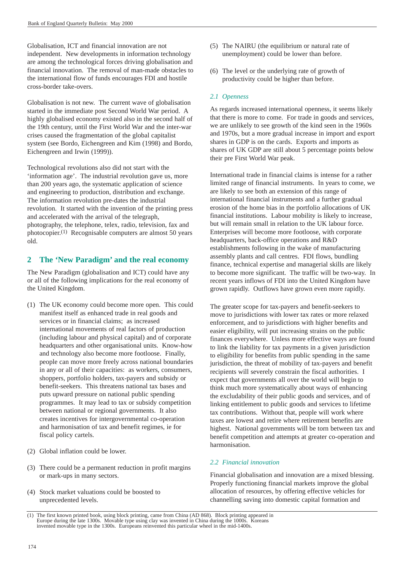Globalisation, ICT and financial innovation are not independent. New developments in information technology are among the technological forces driving globalisation and financial innovation. The removal of man-made obstacles to the international flow of funds encourages FDI and hostile cross-border take-overs.

Globalisation is not new. The current wave of globalisation started in the immediate post Second World War period. A highly globalised economy existed also in the second half of the 19th century, until the First World War and the inter-war crises caused the fragmentation of the global capitalist system (see Bordo, Eichengreen and Kim (1998) and Bordo, Eichengreen and Irwin (1999)).

Technological revolutions also did not start with the 'information age'. The industrial revolution gave us, more than 200 years ago, the systematic application of science and engineering to production, distribution and exchange. The information revolution pre-dates the industrial revolution. It started with the invention of the printing press and accelerated with the arrival of the telegraph, photography, the telephone, telex, radio, television, fax and photocopier.(1) Recognisable computers are almost 50 years old.

# **2 The 'New Paradigm' and the real economy**

The New Paradigm (globalisation and ICT) could have any or all of the following implications for the real economy of the United Kingdom.

- (1) The UK economy could become more open. This could manifest itself as enhanced trade in real goods and services or in financial claims; as increased international movements of real factors of production (including labour and physical capital) and of corporate headquarters and other organisational units. Know-how and technology also become more footloose. Finally, people can move more freely across national boundaries in any or all of their capacities: as workers, consumers, shoppers, portfolio holders, tax-payers and subsidy or benefit-seekers. This threatens national tax bases and puts upward pressure on national public spending programmes. It may lead to tax or subsidy competition between national or regional governments. It also creates incentives for intergovernmental co-operation and harmonisation of tax and benefit regimes, ie for fiscal policy cartels.
- (2) Global inflation could be lower.
- (3) There could be a permanent reduction in profit margins or mark-ups in many sectors.
- (4) Stock market valuations could be boosted to unprecedented levels.
- (5) The NAIRU (the equilibrium or natural rate of unemployment) could be lower than before.
- (6) The level or the underlying rate of growth of productivity could be higher than before.

## *2.1 Openness*

As regards increased international openness, it seems likely that there is more to come. For trade in goods and services, we are unlikely to see growth of the kind seen in the 1960s and 1970s, but a more gradual increase in import and export shares in GDP is on the cards. Exports and imports as shares of UK GDP are still about 5 percentage points below their pre First World War peak.

International trade in financial claims is intense for a rather limited range of financial instruments. In years to come, we are likely to see both an extension of this range of international financial instruments and a further gradual erosion of the home bias in the portfolio allocations of UK financial institutions. Labour mobility is likely to increase, but will remain small in relation to the UK labour force. Enterprises will become more footloose, with corporate headquarters, back-office operations and R&D establishments following in the wake of manufacturing assembly plants and call centres. FDI flows, bundling finance, technical expertise and managerial skills are likely to become more significant. The traffic will be two-way. In recent years inflows of FDI into the United Kingdom have grown rapidly. Outflows have grown even more rapidly.

The greater scope for tax-payers and benefit-seekers to move to jurisdictions with lower tax rates or more relaxed enforcement, and to jurisdictions with higher benefits and easier eligibility, will put increasing strains on the public finances everywhere. Unless more effective ways are found to link the liability for tax payments in a given jurisdiction to eligibility for benefits from public spending in the same jurisdiction, the threat of mobility of tax-payers and benefit recipients will severely constrain the fiscal authorities. I expect that governments all over the world will begin to think much more systematically about ways of enhancing the excludability of their public goods and services, and of linking entitlement to public goods and services to lifetime tax contributions. Without that, people will work where taxes are lowest and retire where retirement benefits are highest. National governments will be torn between tax and benefit competition and attempts at greater co-operation and harmonisation.

## *2.2 Financial innovation*

Financial globalisation and innovation are a mixed blessing. Properly functioning financial markets improve the global allocation of resources, by offering effective vehicles for channelling saving into domestic capital formation and

<sup>(1)</sup> The first known printed book, using block printing, came from China (AD 868). Block printing appeared in Europe during the late 1300s. Movable type using clay was invented in China during the 1000s. invented movable type in the 1300s. Europeans reinvented this particular wheel in the mid-1400s.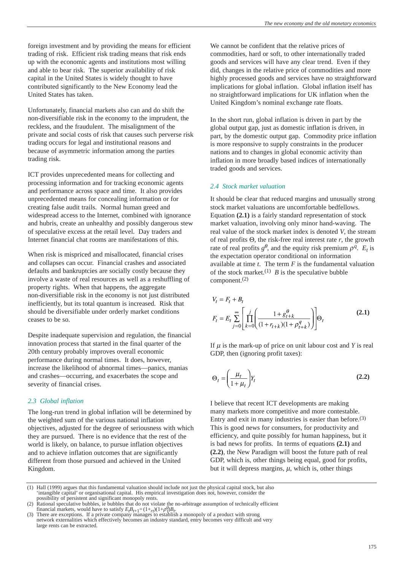foreign investment and by providing the means for efficient trading of risk. Efficient risk trading means that risk ends up with the economic agents and institutions most willing and able to bear risk. The superior availability of risk capital in the United States is widely thought to have contributed significantly to the New Economy lead the United States has taken.

Unfortunately, financial markets also can and do shift the non-diversifiable risk in the economy to the imprudent, the reckless, and the fraudulent. The misalignment of the private and social costs of risk that causes such perverse risk trading occurs for legal and institutional reasons and because of asymmetric information among the parties trading risk.

ICT provides unprecedented means for collecting and processing information and for tracking economic agents and performance across space and time. It also provides unprecedented means for concealing information or for creating false audit trails. Normal human greed and widespread access to the Internet, combined with ignorance and hubris, create an unhealthy and possibly dangerous stew of speculative excess at the retail level. Day traders and Internet financial chat rooms are manifestations of this.

When risk is mispriced and misallocated, financial crises and collapses can occur. Financial crashes and associated defaults and bankruptcies are socially costly because they involve a waste of real resources as well as a reshuffling of property rights. When that happens, the aggregate non-diversifiable risk in the economy is not just distributed inefficiently, but its total quantum is increased. Risk that should be diversifiable under orderly market conditions ceases to be so.

Despite inadequate supervision and regulation, the financial innovation process that started in the final quarter of the 20th century probably improves overall economic performance during normal times. It does, however, increase the likelihood of abnormal times—panics, manias and crashes—occurring, and exacerbates the scope and severity of financial crises.

#### *2.3 Global inflation*

The long-run trend in global inflation will be determined by the weighted sum of the various national inflation objectives, adjusted for the degree of seriousness with which they are pursued. There is no evidence that the rest of the world is likely, on balance, to pursue inflation objectives and to achieve inflation outcomes that are significantly different from those pursued and achieved in the United Kingdom.

We cannot be confident that the relative prices of commodities, hard or soft, to other internationally traded goods and services will have any clear trend. Even if they did, changes in the relative price of commodities and more highly processed goods and services have no straightforward implications for global inflation. Global inflation itself has no straightforward implications for UK inflation when the United Kingdom's nominal exchange rate floats.

In the short run, global inflation is driven in part by the global output gap, just as domestic inflation is driven, in part, by the domestic output gap. Commodity price inflation is more responsive to supply constraints in the producer nations and to changes in global economic activity than inflation in more broadly based indices of internationally traded goods and services.

#### *2.4 Stock market valuation*

It should be clear that reduced margins and unusually strong stock market valuations are uncomfortable bedfellows. Equation **(2.1)** is a fairly standard representation of stock market valuation, involving only minor hand-waving. The real value of the stock market index is denoted *V*, the stream of real profits  $\Theta$ , the risk-free real interest rate  $r$ , the growth rate of real profits  $g^{\theta}$ , and the equity risk premium  $\rho^{q}$ . *E<sub>t</sub>* is the expectation operator conditional on information available at time *t*. The term *F* is the fundamental valuation of the stock market.<sup>(1)</sup> *B* is the speculative bubble component.(2)

$$
V_t = F_t + B_t
$$
  
\n
$$
F_t = E_t \sum_{j=0}^{\infty} \left[ \prod_{k=0}^{j} \left( \frac{1 + g_{t+k}^{\theta}}{(1 + r_{t+k})(1 + \rho_{t+k}^q)} \right) \right] \Theta_t
$$
\n(2.1)

If  $\mu$  is the mark-up of price on unit labour cost and *Y* is real GDP, then (ignoring profit taxes):

$$
\Theta_t = \left(\frac{\mu_t}{1 + \mu_t}\right) Y_t \tag{2.2}
$$

I believe that recent ICT developments are making many markets more competitive and more contestable. Entry and exit in many industries is easier than before.(3) This is good news for consumers, for productivity and efficiency, and quite possibly for human happiness, but it is bad news for profits. In terms of equations **(2.1)** and **(2.2)**, the New Paradigm will boost the future path of real GDP, which is, other things being equal, good for profits, but it will depress margins,  $\mu$ , which is, other things

<sup>(1)</sup> Hall (1999) argues that this fundamental valuation should include not just the physical capital stock, but also 'intangible capital' or organisational capital. His empirical investigation does not, however, consider the possibility of persistent and significant monopoly rents.

<sup>(2)</sup> Rational speculative bubbles, ie bubbles that do not violate the no-arbitrage assumption of technically efficient financial markets, would have to satisfy  $E_t B_{t+1} = (1 + r_t)(1 + \rho_t^d) B_t$ .

<sup>(3)</sup> There are exceptions. If a private company manages to establish a monopoly of a product with strong network externalities which effectively becomes an industry standard, entry becomes very difficult and very large rents can be extracted.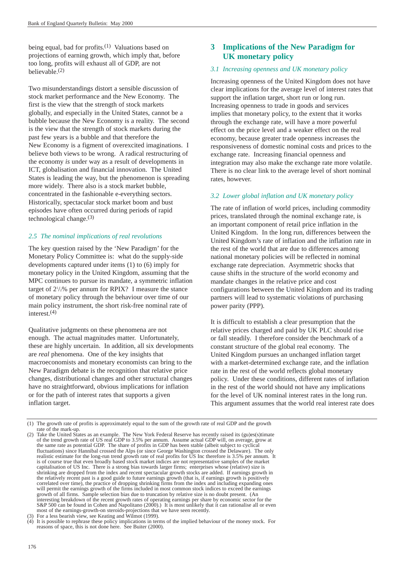being equal, bad for profits.<sup>(1)</sup> Valuations based on projections of earning growth, which imply that, before too long, profits will exhaust all of GDP, are not believable.(2)

Two misunderstandings distort a sensible discussion of stock market performance and the New Economy. The first is the view that the strength of stock markets globally, and especially in the United States, cannot be a bubble because the New Economy is a reality. The second is the view that the strength of stock markets during the past few years is a bubble and that therefore the New Economy is a figment of overexcited imaginations. I believe both views to be wrong. A radical restructuring of the economy *is* under way as a result of developments in ICT, globalisation and financial innovation. The United States is leading the way, but the phenomenon is spreading more widely. There also is a stock market bubble, concentrated in the fashionable e-everything sectors. Historically, spectacular stock market boom and bust episodes have often occurred during periods of rapid technological change. $(3)$ 

# *2.5 The nominal implications of real revolutions*

The key question raised by the 'New Paradigm' for the Monetary Policy Committee is: what do the supply-side developments captured under items (1) to (6) imply for monetary policy in the United Kingdom, assuming that the MPC continues to pursue its mandate, a symmetric inflation target of  $2\frac{1}{2}\%$  per annum for RPIX? I measure the stance of monetary policy through the behaviour over time of our main policy instrument, the short risk-free nominal rate of interest.(4)

Qualitative judgments on these phenomena are not enough. The actual magnitudes matter. Unfortunately, these are highly uncertain. In addition, all six developments are *real* phenomena. One of the key insights that macroeconomists and monetary economists can bring to the New Paradigm debate is the recognition that relative price changes, distributional changes and other structural changes have no straightforward, obvious implications for inflation or for the path of interest rates that supports a given inflation target.

# **3 Implications of the New Paradigm for UK monetary policy**

#### *3.1 Increasing openness and UK monetary policy*

Increasing openness of the United Kingdom does not have clear implications for the average level of interest rates that support the inflation target, short run or long run. Increasing openness to trade in goods and services implies that monetary policy, to the extent that it works through the exchange rate, will have a more powerful effect on the price level and a weaker effect on the real economy, because greater trade openness increases the responsiveness of domestic nominal costs and prices to the exchange rate. Increasing financial openness and integration may also make the exchange rate more volatile. There is no clear link to the average level of short nominal rates, however.

# *3.2 Lower global inflation and UK monetary policy*

The rate of inflation of world prices, including commodity prices, translated through the nominal exchange rate, is an important component of retail price inflation in the United Kingdom. In the long run, differences between the United Kingdom's rate of inflation and the inflation rate in the rest of the world that are due to differences among national monetary policies will be reflected in nominal exchange rate depreciation. Asymmetric shocks that cause shifts in the structure of the world economy and mandate changes in the relative price and cost configurations between the United Kingdom and its trading partners will lead to systematic violations of purchasing power parity (PPP).

It is difficult to establish a clear presumption that the relative prices charged and paid by UK PLC should rise or fall steadily. I therefore consider the benchmark of a constant structure of the global real economy. The United Kingdom pursues an unchanged inflation target with a market-determined exchange rate, and the inflation rate in the rest of the world reflects global monetary policy. Under these conditions, different rates of inflation in the rest of the world should not have any implications for the level of UK nominal interest rates in the long run. This argument assumes that the world real interest rate does

<sup>(1)</sup> The growth rate of profits is approximately equal to the sum of the growth rate of real GDP and the growth rate of the mark-up

<sup>(2)</sup> Take the United States as an example. The New York Federal Reserve has recently raised its (gu)es(s)timate of the trend growth rate of US real GDP to 3.5% per annum. Assume actual GDP will, on average, grow at the same rate as potential GDP. The share of profits in GDP has been stable (albeit subject to cyclical fluctuations) since Hannibal crossed the Alps (or since George Washington crossed the Delaware). The only realistic estimate for the long-run trend growth rate of real profits for US Inc therefore is 3.5% per annum. It is of course true that even broadly based stock market indices are not representative samples of the market capitalisation of US Inc. There is a strong bias towards larger firms; enterprises whose (relative) size is shrinking are dropped from the index and recent spectacular growth stocks are added. If earnings growth in the relatively recent past is a good guide to future earnings growth (that is, if earnings growth is positively correlated over time), the practice of dropping shrinking firms from the index and including expanding ones will permit the earnings growth of the firms included in most common stock indices to exceed the earnings growth of all firms. Sample selection bias due to truncation by relative size is no doubt present. (An interesting breakdown of the recent growth rates of operating earnings per share by economic sector for the S&P 500 can be found in Cohen and Napolitano (2000).) It is most unlikely that it can rationalise all or even most of the earnings-growth-on steroids-projections that we have seen recently.

<sup>(3)</sup> For a less bearish view, see Keating and Wilmot (1999).

<sup>(4)</sup> It is possible to rephrase these policy implications in terms of the implied behaviour of the money stock. For reasons of space, this is not done here. See Buiter (2000).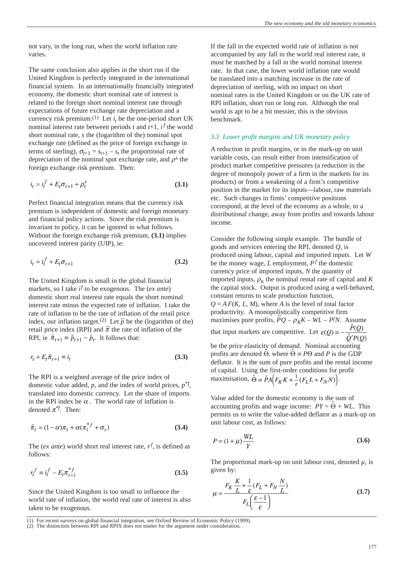not vary, in the long run, when the world inflation rate varies.

The same conclusion also applies in the short run if the United Kingdom is perfectly integrated in the international financial system. In an internationally financially integrated economy, the domestic short nominal rate of interest is related to the foreign short nominal interest rate through expectations of future exchange rate depreciation and a currency risk premium.<sup>(1)</sup> Let  $i_t$  be the one-period short UK nominal interest rate between periods  $t$  and  $t+1$ ,  $i^f$  the world short nominal rate, *s* the (logarithm of the) nominal spot exchange rate (defined as the price of foreign exchange in terms of sterling),  $\sigma_{t+1} = s_{t+1} - s_t$  the proportional rate of depreciation of the nominal spot exchange rate, and  $\rho^s$  the foreign exchange risk premium. Then:

$$
i_t = i_t^f + E_t \sigma_{t+1} + \rho_t^s \tag{3.1}
$$

Perfect financial integration means that the currency risk premium is independent of domestic and foreign monetary and financial policy actions. Since the risk premium is invariant to policy, it can be ignored in what follows. Without the foreign exchange risk premium, **(3.1)** implies uncovered interest parity (UIP), ie:

$$
i_t = i_t^f + E_t \sigma_{t+1}
$$
\n(3.2)

The United Kingdom is small in the global financial markets, so I take *i<sup>f</sup>* to be exogenous. The (*ex ante*) domestic short real interest rate equals the short nominal interest rate minus the expected rate of inflation. I take the rate of inflation to be the rate of inflation of the retail price index, our inflation target.<sup>(2)</sup> Let  $\tilde{p}$  be the (logarithm of the) retail price index (RPI) and  $\tilde{\pi}$  the rate of inflation of the RPI, ie  $\tilde{\pi}_{t+1} = \tilde{p}_{t+1} - \tilde{p}_t$ . It follows that:

$$
r_t + E_t \tilde{\pi}_{t+1} \equiv i_t \tag{3.3}
$$

The RPI is a weighted average of the price index of domestic value added, *p*, and the index of world prices, *p\*f*, translated into domestic currency. Let the share of imports in the RPI index be  $\alpha$ . The world rate of inflation is denoted  $\pi^{\mathcal{F}}$ . Then:

$$
\tilde{\pi}_t = (1 - \alpha)\pi_t + \alpha(\pi_t^{*f} + \sigma_t)
$$
\n(3.4)

The (*ex ante*) world short real interest rate, *r<sup>f</sup>* , is defined as follows:

$$
r_t^f \equiv i_t^f - E_t \pi_{t+1}^{*f} \tag{3.5}
$$

Since the United Kingdom is too small to influence the world rate of inflation, the world real rate of interest is also taken to be exogenous.

If the fall in the expected world rate of inflation is not accompanied by any fall in the world real interest rate, it must be matched by a fall in the world nominal interest rate. In that case, the lower world inflation rate would be translated into a matching increase in the rate of depreciation of sterling, with no impact on short nominal rates in the United Kingdom or on the UK rate of RPI inflation, short run or long run. Although the real world is apt to be a bit messier, this is the obvious benchmark.

## *3.3 Lower profit margins and UK monetary policy*

A reduction in profit margins, or in the mark-up on unit variable costs, can result either from intensification of product market competitive pressures (a reduction in the degree of monopoly power of a firm in the markets for its products) or from a weakening of a firm's competitive position in the market for its inputs—labour, raw materials etc. Such changes in firms' competitive positions correspond, at the level of the economy as a whole, to a distributional change, away from profits and towards labour income.

Consider the following simple example. The bundle of goods and services entering the RPI, denoted *Q*, is produced using labour, capital and imported inputs. Let *W* be the money wage, *L* employment, *P<sup>f</sup>* the domestic currency price of imported inputs, *N* the quantity of imported inputs,  $\rho_K$  the nominal rental rate of capital and *K* the capital stock. Output is produced using a well-behaved, constant returns to scale production function,  $Q = AF(K, L, M)$ , where *A* is the level of total factor productivity. A monopolistically competitive firm maximises pure profits,  $\tilde{P}Q - \rho_K K - WL - PfN$ . Assume that input markets are competitive. Let  $\varepsilon(Q) = -\frac{\tilde{P}(Q)}{z \cdot z}$  $\tilde{O}'P(O)$ be the price elasticity of demand. Nominal accounting profits are denoted  $\hat{\Theta}$ , where  $\hat{\Theta} \equiv P\Theta$  and *P* is the GDP deflator. It is the sum of pure profits and the rental income of capital. Using the first-order conditions for profit

maximisation,  $\hat{\Theta} = \tilde{P}A[F_KK + \frac{1}{2}(F_LL + F_MN)].$ 

Value added for the domestic economy is the sum of accounting profits and wage income:  $PY = \hat{\Theta} + WL$ . This permits us to write the value-added deflator as a mark-up on unit labour cost, as follows:

$$
P = (1 + \mu) \frac{WL}{Y}
$$
 (3.6)

The proportional mark-up on unit labour cost, denoted  $\mu$ , is given by:

$$
\mu = \frac{F_K \frac{K}{L} + \frac{1}{\varepsilon} (F_L + F_N \frac{N}{L})}{F_L \left(\frac{\varepsilon - 1}{\varepsilon}\right)}\tag{3.7}
$$

For recent surveys on global financial integration, see Oxford Review of Economic Policy (1999).

<sup>(2)</sup> The distinction between RPI and RPIX does not matter for the argument under consideration.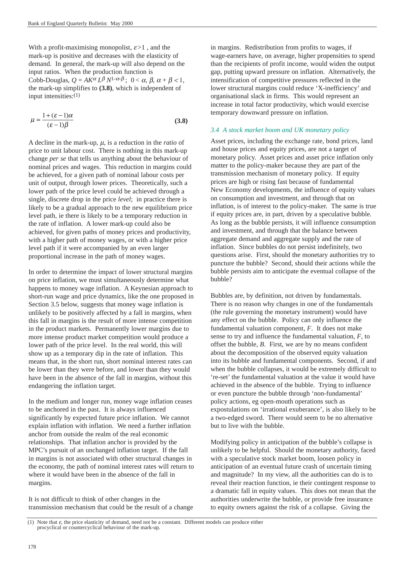With a profit-maximising monopolist,  $\varepsilon > 1$ , and the mark-up is positive and decreases with the elasticity of demand. In general, the mark-up will also depend on the input ratios. When the production function is Cobb-Douglas,  $Q = AK^{\alpha}L^{\beta}N^{1-\alpha-\beta}$ ;  $0 < \alpha, \beta, \alpha+\beta < 1$ , the mark-up simplifies to **(3.8)**, which is independent of input intensities:(1)

$$
\mu = \frac{1 + (\varepsilon - 1)\alpha}{(\varepsilon - 1)\beta} \tag{3.8}
$$

A decline in the mark-up,  $\mu$ , is a reduction in the *ratio* of price to unit labour cost. There is nothing in this mark-up change *per se* that tells us anything about the behaviour of nominal prices and wages. This reduction in margins could be achieved, for a given path of nominal labour costs per unit of output, through lower prices. Theoretically, such a lower path of the price level could be achieved through a single, discrete drop in the price *level*; in practice there is likely to be a gradual approach to the new equilibrium price level path, ie there is likely to be a temporary reduction in the rate of inflation. A lower mark-up could also be achieved, for given paths of money prices and productivity, with a higher path of money wages, or with a higher price level path if it were accompanied by an even larger proportional increase in the path of money wages.

In order to determine the impact of lower structural margins on price inflation, we must simultaneously determine what happens to money wage inflation. A Keynesian approach to short-run wage and price dynamics, like the one proposed in Section 3.5 below, suggests that money wage inflation is unlikely to be positively affected by a fall in margins, when this fall in margins is the result of more intense competition in the product markets. Permanently lower margins due to more intense product market competition would produce a lower path of the price level. In the real world, this will show up as a temporary dip in the rate of inflation. This means that, in the short run, short nominal interest rates can be lower than they were before, and lower than they would have been in the absence of the fall in margins, without this endangering the inflation target.

In the medium and longer run, money wage inflation ceases to be anchored in the past. It is always influenced significantly by expected future price inflation. We cannot explain inflation with inflation. We need a further inflation anchor from outside the realm of the real economic relationships. That inflation anchor is provided by the MPC's pursuit of an unchanged inflation target. If the fall in margins is not associated with other structural changes in the economy, the path of nominal interest rates will return to where it would have been in the absence of the fall in margins.

It is not difficult to think of other changes in the transmission mechanism that could be the result of a change in margins. Redistribution from profits to wages, if wage-earners have, on average, higher propensities to spend than the recipients of profit income, would widen the output gap, putting upward pressure on inflation. Alternatively, the intensification of competitive pressures reflected in the lower structural margins could reduce 'X-inefficiency' and organisational slack in firms. This would represent an increase in total factor productivity, which would exercise temporary downward pressure on inflation.

# *3.4 A stock market boom and UK monetary policy*

Asset prices, including the exchange rate, bond prices, land and house prices and equity prices, are not a target of monetary policy. Asset prices and asset price inflation only matter to the policy-maker because they are part of the transmission mechanism of monetary policy. If equity prices are high or rising fast because of fundamental New Economy developments, the influence of equity values on consumption and investment, and through that on inflation, is of interest to the policy-maker. The same is true if equity prices are, in part, driven by a speculative bubble. As long as the bubble persists, it will influence consumption and investment, and through that the balance between aggregate demand and aggregate supply and the rate of inflation. Since bubbles do not persist indefinitely, two questions arise. First, should the monetary authorities try to puncture the bubble? Second, should their actions while the bubble persists aim to anticipate the eventual collapse of the bubble?

Bubbles are, by definition, not driven by fundamentals. There is no reason why changes in one of the fundamentals (the rule governing the monetary instrument) would have any effect on the bubble. Policy can only influence the fundamental valuation component, *F*. It does not make sense to try and influence the fundamental valuation, *F*, to offset the bubble, *B*. First, we are by no means confident about the decomposition of the observed equity valuation into its bubble and fundamental components. Second, if and when the bubble collapses, it would be extremely difficult to 're-set' the fundamental valuation at the value it would have achieved in the absence of the bubble. Trying to influence or even puncture the bubble through 'non-fundamental' policy actions, eg open-mouth operations such as expostulations on 'irrational exuberance', is also likely to be a two-edged sword. There would seem to be no alternative but to live with the bubble.

Modifying policy in anticipation of the bubble's collapse is unlikely to be helpful. Should the monetary authority, faced with a speculative stock market boom, loosen policy in anticipation of an eventual future crash of uncertain timing and magnitude? In my view, all the authorities can do is to reveal their reaction function, ie their contingent response to a dramatic fall in equity values. This does not mean that the authorities underwrite the bubble, or provide free insurance to equity owners against the risk of a collapse. Giving the

<sup>(1)</sup> Note that  $\varepsilon$ , the price elasticity of demand, need not be a constant. Different models can produce either procyclical or countercyclical behaviour of the mark-up.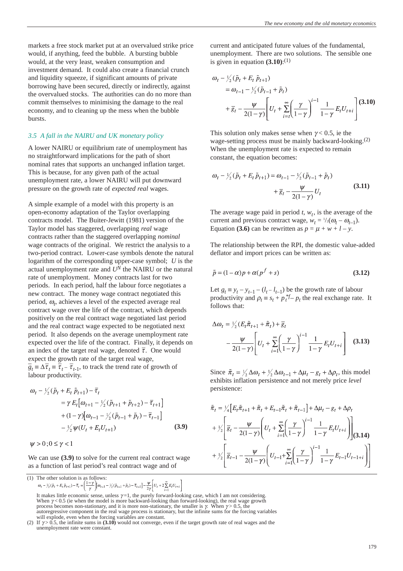markets a free stock market put at an overvalued strike price would, if anything, feed the bubble. A bursting bubble would, at the very least, weaken consumption and investment demand. It could also create a financial crunch and liquidity squeeze, if significant amounts of private borrowing have been secured, directly or indirectly, against the overvalued stocks. The authorities can do no more than commit themselves to minimising the damage to the real economy, and to cleaning up the mess when the bubble bursts.

## *3.5 A fall in the NAIRU and UK monetary policy*

A lower NAIRU or equilibrium rate of unemployment has no straightforward implications for the path of short nominal rates that supports an unchanged inflation target. This is because, for any given path of the actual unemployment rate, a lower NAIRU will put downward pressure on the growth rate of *expected real* wages.

A simple example of a model with this property is an open-economy adaptation of the Taylor overlapping contracts model. The Buiter-Jewitt (1981) version of the Taylor model has staggered, overlapping *real* wage contracts rather than the staggered overlapping *nominal* wage contracts of the original. We restrict the analysis to a two-period contract. Lower-case symbols denote the natural logarithm of the corresponding upper-case symbol; *U* is the actual unemployment rate and *UN* the NAIRU or the natural rate of unemployment. Money contracts last for two periods. In each period, half the labour force negotiates a new contract. The money wage contract negotiated this period,  $\omega_t$ , achieves a level of the expected average real contract wage over the life of the contract, which depends positively on the real contract wage negotiated last period and the real contract wage expected to be negotiated next period. It also depends on the average unemployment rate expected over the life of the contract. Finally, it depends on an index of the target real wage, denoted  $\bar{\tau}$ . One would expect the growth rate of the target real wage,  $g_t = \Delta \overline{\tau}_t = \overline{\tau}_{t-} - \overline{\tau}_{t-1}$ , to track the trend rate of growth of labour productivity.

$$
\omega_{t} - \frac{1}{2}(\tilde{p}_{t} + E_{t} \tilde{p}_{t+1}) - \bar{\tau}_{t}
$$
\n
$$
= \gamma E_{t} [\omega_{t+1} - \frac{1}{2}(\tilde{p}_{t+1} + \tilde{p}_{t+2}) - \bar{\tau}_{t+1}]
$$
\n
$$
+ (1 - \gamma)[\omega_{t-1} - \frac{1}{2}(\tilde{p}_{t-1} + \tilde{p}_{t}) - \bar{\tau}_{t-1}]
$$
\n
$$
- \frac{1}{2} \psi(U_{t} + E_{t} U_{t+1})
$$
\n(3.9)

 $\psi > 0$ ;  $0 \leq \gamma < 1$ 

We can use **(3.9)** to solve for the current real contract wage as a function of last period's real contract wage and of

```
(1) The other solution is as follows:<br>
\omega_t - \frac{1}{2}(\tilde{p}_t + E_t \tilde{p}_{t+1}) - \bar{\tau}_t = \left(\frac{1-\gamma}{\gamma}\right) [\omega_{t-1} - \frac{1}{2}(\tilde{p}_{t-1} + \tilde{p}_t) - \bar{\tau}_{t-1}] - \frac{\psi}{2\gamma} \left[ U_t + 2 \sum_{i=1}^{\infty} E_t U_{t+i} \right]
```
current and anticipated future values of the fundamental, unemployment. There are two solutions. The sensible one is given in equation  $(3.10)$ :<sup>(1)</sup>

$$
\omega_{t} - \frac{1}{2}(\tilde{p}_{t} + E_{t} \tilde{p}_{t+1})
$$
\n
$$
= \omega_{t-1} - \frac{1}{2}(\tilde{p}_{t-1} + \tilde{p}_{t})
$$
\n
$$
+ \bar{g}_{t} - \frac{\psi}{2(1-\gamma)} \left[ U_{t} + \sum_{i=t}^{\infty} \left( \frac{\gamma}{1-\gamma} \right)^{i-1} \frac{1}{1-\gamma} E_{t} U_{t+i} \right] (3.10)
$$

This solution only makes sense when  $\gamma$  < 0.5, ie the wage-setting process must be mainly backward-looking.(2) When the unemployment rate is expected to remain constant, the equation becomes:

$$
\omega_{t} - \frac{1}{2}(\tilde{p}_{t} + E_{t}\tilde{p}_{t+1}) = \omega_{t-1} - \frac{1}{2}(\tilde{p}_{t-1} + \tilde{p}_{t}) + \frac{1}{g_{t}} - \frac{\psi}{2(1-\gamma)}U_{t}
$$
\n(3.11)

The average wage paid in period  $t$ ,  $w_t$ , is the average of the current and previous contract wage,  $w_t = \frac{1}{2}(\omega_t - \omega_{t-1})$ . Equation **(3.6)** can be rewritten as  $p = \mu + w + l - y$ .

The relationship between the RPI, the domestic value-added deflator and import prices can be written as:

$$
\tilde{p} = (1 - \alpha)p + \alpha(p^f + s)
$$
\n(3.12)

Let  $g_t \equiv y_t - y_{t-1} - (l_t - l_{t-1})$  be the growth rate of labour productivity and  $\rho_t \equiv s_t + p_t^{*f} - p_t$  the real exchange rate. It follows that:

$$
\Delta \omega_t = \frac{1}{2} (E_t \tilde{\pi}_{t+1} + \tilde{\pi}_t) + \overline{g}_t
$$
  
- 
$$
\frac{\psi}{2(1-\gamma)} \left[ U_t + \sum_{i=1}^{\infty} \left( \frac{\gamma}{1-\gamma} \right)^{i-1} \frac{1}{1-\gamma} E_t U_{t+i} \right]
$$
(3.13)

Since  $\tilde{\pi}_t = \frac{1}{2} \Delta \omega_t + \frac{1}{2} \Delta \omega_{t-1} + \Delta \mu_t - g_t + \Delta \rho_t$ , this model exhibits inflation persistence and not merely price *level* persistence:

$$
\tilde{\pi}_t = \frac{1}{4} \Big[ E_t \tilde{\pi}_{t+1} + \tilde{\pi}_t + E_{t-1} \tilde{\pi}_t + \tilde{\pi}_{t-1} \Big] + \Delta \mu_t - g_t + \Delta \rho_t
$$
\n
$$
+ \frac{1}{2} \Bigg[ \overline{g}_t - \frac{\Psi}{2(1-\gamma)} \Bigg( U_t + \sum_{i=1}^{\infty} \Bigg( \frac{\gamma}{1-\gamma} \Bigg)^{i-1} \frac{1}{1-\gamma} E_t U_{t+i} \Bigg) \Bigg] (3.14)
$$
\n
$$
+ \frac{1}{2} \Bigg[ \overline{g}_{t-1} - \frac{\Psi}{2(1-\gamma)} \Bigg( U_{t-1} + \sum_{i=1}^{\infty} \Bigg( \frac{\gamma}{1-\gamma} \Bigg)^{i-1} \frac{1}{1-\gamma} E_{t-1} U_{t-1+i} \Bigg) \Bigg]
$$

It makes little economic sense, unless  $\gamma=1$ , the purely forward-looking case, which I am not considering. When  $\gamma$  < 0.5 (ie when the model is more backward-looking than forward-looking), the real wage growth process becomes non-stationary, and it is more non-stationary, the smaller is  $\gamma$ . When  $\gamma$  > 0.5, the autoregressive component in the real wage process is stationary, but the infinite sums for the forcing variables

will explode, even when the forcing variables are constant.<br>(2) If  $\gamma$  > 0.5, the infinite sums in (3.10) would not converge, even if the target growth rate of real wages and the unemployment rate were constant.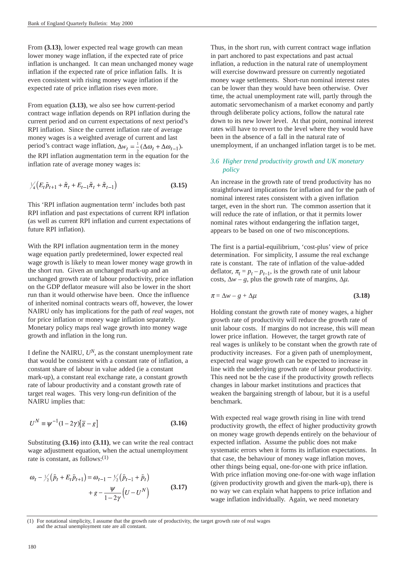From **(3.13)**, lower expected real wage growth can mean lower money wage inflation, if the expected rate of price inflation is unchanged. It can mean unchanged money wage inflation if the expected rate of price inflation falls. It is even consistent with rising money wage inflation if the expected rate of price inflation rises even more.

From equation **(3.13)**, we also see how current-period contract wage inflation depends on RPI inflation during the current period and on current expectations of next period's RPI inflation. Since the current inflation rate of average money wages is a weighted average of current and last period's contract wage inflation,  $\Delta w_t = \frac{1}{2} (\Delta \omega_t + \Delta \omega_{t-1}),$ the RPI inflation augmentation term in the equation for the inflation rate of average money wages is:

$$
\frac{1}{4} \left( E_t \tilde{p}_{t+1} + \tilde{\pi}_t + E_{t-1} \tilde{\pi}_t + \tilde{\pi}_{t-1} \right) \tag{3.15}
$$

This 'RPI inflation augmentation term' includes both past RPI inflation and past expectations of current RPI inflation (as well as current RPI inflation and current expectations of future RPI inflation).

With the RPI inflation augmentation term in the money wage equation partly predetermined, lower expected real wage growth is likely to mean lower money wage growth in the short run. Given an unchanged mark-up and an unchanged growth rate of labour productivity, price inflation on the GDP deflator measure will also be lower in the short run than it would otherwise have been. Once the influence of inherited nominal contracts wears off, however, the lower NAIRU only has implications for the path of *real wages*, not for price inflation or money wage inflation separately. Monetary policy maps real wage growth into money wage growth and inflation in the long run.

I define the NAIRU, *UN*, as the constant unemployment rate that would be consistent with a constant rate of inflation, a constant share of labour in value added (ie a constant mark-up), a constant real exchange rate, a constant growth rate of labour productivity and a constant growth rate of target real wages. This very long-run definition of the NAIRU implies that:

$$
U^N \equiv \psi^{-1}(1 - 2\gamma)[\overline{g} - g] \tag{3.16}
$$

Substituting **(3.16)** into **(3.11)**, we can write the real contract wage adjustment equation, when the actual unemployment rate is constant, as follows:(1)

$$
\omega_{t} - \frac{1}{2}(\tilde{p}_{t} + E_{t}\tilde{p}_{t+1}) = \omega_{t-1} - \frac{1}{2}(\tilde{p}_{t-1} + \tilde{p}_{t}) + g - \frac{\psi}{1 - 2\gamma}(U - U^{N})
$$
\n(3.17)

Thus, in the short run, with current contract wage inflation in part anchored to past expectations and past actual inflation, a reduction in the natural rate of unemployment will exercise downward pressure on currently negotiated money wage settlements. Short-run nominal interest rates can be lower than they would have been otherwise. Over time, the actual unemployment rate will, partly through the automatic servomechanism of a market economy and partly through deliberate policy actions, follow the natural rate down to its new lower level. At that point, nominal interest rates will have to revert to the level where they would have been in the absence of a fall in the natural rate of unemployment, if an unchanged inflation target is to be met.

## *3.6 Higher trend productivity growth and UK monetary policy*

An increase in the growth rate of trend productivity has no straightforward implications for inflation and for the path of nominal interest rates consistent with a given inflation target, even in the short run. The common assertion that it will reduce the rate of inflation, or that it permits lower nominal rates without endangering the inflation target, appears to be based on one of two misconceptions.

The first is a partial-equilibrium, 'cost-plus' view of price determination. For simplicity, I assume the real exchange rate is constant. The rate of inflation of the value-added deflator,  $\pi_t = p_t - p_{t-1}$ , is the growth rate of unit labour costs,  $\Delta w - g$ , plus the growth rate of margins,  $\Delta \mu$ .

$$
\pi = \Delta w - g + \Delta \mu \tag{3.18}
$$

Holding constant the growth rate of money wages, a higher growth rate of productivity will reduce the growth rate of unit labour costs. If margins do not increase, this will mean lower price inflation. However, the target growth rate of real wages is unlikely to be constant when the growth rate of productivity increases. For a given path of unemployment, expected real wage growth can be expected to increase in line with the underlying growth rate of labour productivity. This need not be the case if the productivity growth reflects changes in labour market institutions and practices that weaken the bargaining strength of labour, but it is a useful benchmark.

With expected real wage growth rising in line with trend productivity growth, the effect of higher productivity growth on money wage growth depends entirely on the behaviour of expected inflation. Assume the public does not make systematic errors when it forms its inflation expectations. In that case, the behaviour of money wage inflation moves, other things being equal, one-for-one with price inflation. With price inflation moving one-for-one with wage inflation (given productivity growth and given the mark-up), there is no way we can explain what happens to price inflation and wage inflation individually. Again, we need monetary

<sup>(1)</sup> For notational simplicity, I assume that the growth rate of productivity, the target growth rate of real wages and the actual unemployment rate are all constant.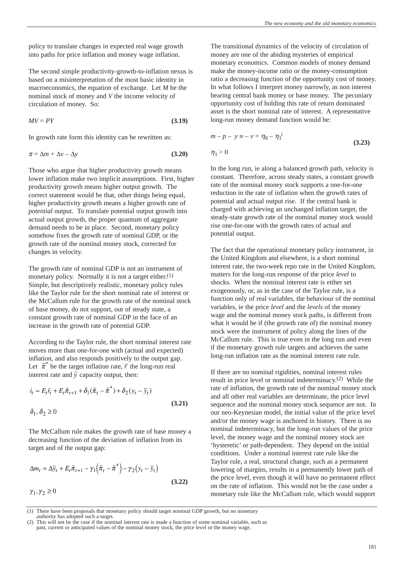policy to translate changes in expected real wage growth into paths for price inflation and money wage inflation.

The second simple productivity-growth-to-inflation nexus is based on a misinterpretation of the most basic identity in macroeconomics, the equation of exchange. Let *M* be the nominal stock of money and *V* the income velocity of circulation of money. So:

$$
MV = PY \tag{3.19}
$$

In growth rate form this identity can be rewritten as:

$$
\pi = \Delta m + \Delta v - \Delta y \tag{3.20}
$$

Those who argue that higher productivity growth means lower inflation make two implicit assumptions. First, higher productivity growth means higher output growth. The correct statement would be that, other things being equal, higher productivity growth means a higher growth rate of *potential* output. To translate potential output growth into actual output growth, the proper quantum of aggregate demand needs to be in place. Second, monetary policy somehow fixes the growth rate of nominal GDP, or the growth rate of the nominal money stock, corrected for changes in velocity.

The growth rate of nominal GDP is not an instrument of monetary policy. Normally it is not a target either. $(1)$ Simple, but descriptively realistic, monetary policy rules like the Taylor rule for the short nominal rate of interest or the McCallum rule for the growth rate of the nominal stock of base money, do not support, out of steady state, a constant growth rate of nominal GDP in the face of an increase in the growth rate of potential GDP.

According to the Taylor rule, the short nominal interest rate moves more than one-for-one with (actual and expected) inflation, and also responds positively to the output gap. Let  $\tilde{\pi}^*$  be the target inflation rate,  $\overline{r}$  the long-run real interest rate and  $\bar{y}$  capacity output, then:

$$
i_t = E_t \overline{r}_t + E_t \tilde{\pi}_{t+1} + \delta_1 (\tilde{\pi}_t - \tilde{\pi}^*) + \delta_2 (y_t - \overline{y}_t)
$$
  

$$
\delta_1, \delta_2 \ge 0
$$
 (3.21)

The McCallum rule makes the growth rate of base money a decreasing function of the deviation of inflation from its target and of the output gap:

$$
\Delta m_t = \Delta \bar{y}_t + E_t \tilde{\pi}_{t+1} - \gamma_1 \left( \tilde{\pi}_t - \tilde{\pi}^* \right) - \gamma_2 \left( y_t - \bar{y}_t \right)
$$
  
(3.22)  

$$
\gamma_1, \gamma_2 \ge 0
$$

The transitional dynamics of the velocity of circulation of money are one of the abiding mysteries of empirical monetary economics. Common models of money demand make the money-income ratio or the money-consumption ratio a decreasing function of the opportunity cost of money. In what follows I interpret money narrowly, as non interest bearing central bank money or base money. The pecuniary opportunity cost of holding this rate of return dominated asset is the short nominal rate of interest. A representative long-run money demand function would be:

$$
m - p - y \equiv -v = \eta_0 - \eta_1^i
$$
  
\n
$$
\eta_1 > 0
$$
\n(3.23)

In the long run, ie along a balanced growth path, velocity is constant. Therefore, across steady states, a constant growth rate of the nominal money stock supports a one-for-one reduction in the rate of inflation when the growth rates of potential and actual output rise. If the central bank is charged with achieving an unchanged inflation target, the steady-state growth rate of the nominal money stock would rise one-for-one with the growth rates of actual and potential output.

The fact that the operational monetary policy instrument, in the United Kingdom and elsewhere, is a short nominal interest rate, the two-week repo rate in the United Kingdom, matters for the long-run response of the price *level* to shocks. When the nominal interest rate is either set exogenously, or, as in the case of the Taylor rule, is a function only of real variables, the behaviour of the nominal variables, ie the price *level* and the *levels* of the money wage and the nominal money stock paths, is different from what it would be if (the growth rate of) the nominal money stock were the instrument of policy along the lines of the McCallum rule. This is true even in the long run and even if the monetary growth rule targets and achieves the same long-run inflation rate as the nominal interest rate rule.

If there are no nominal rigidities, nominal interest rules result in price level or nominal indeterminacy.(2) While the rate of inflation, the growth rate of the nominal money stock and all other real variables are determinate, the price level sequence and the nominal money stock sequence are not. In our neo-Keynesian model, the initial value of the price level and/or the money wage is anchored in history. There is no nominal indeterminacy, but the long-run values of the price level, the money wage and the nominal money stock are 'hysteretic' or path-dependent. They depend on the initial conditions. Under a nominal interest rate rule like the Taylor rule, a real, structural change, such as a permanent lowering of margins, results in a permanently lower path of the price level, even though it will have no permanent effect on the rate of inflation. This would not be the case under a monetary rule like the McCallum rule, which would support

(1) There have been proposals that monetary policy should target nominal GDP growth, but no monetary

authority has adopted such a target.

This will not be the case if the nominal interest rate is made a function of some nominal variable, such as past, current or anticipated values of the nominal money stock, the price level or the money wage.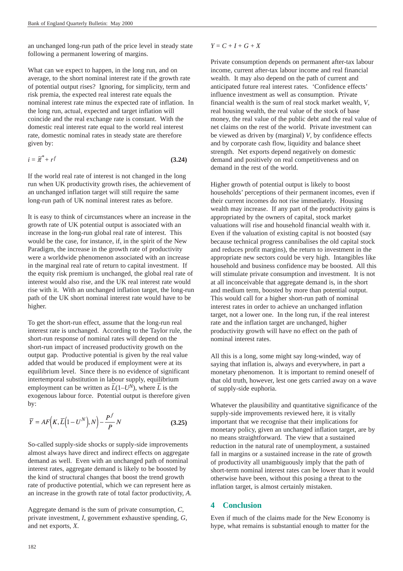an unchanged long-run path of the price level in steady state following a permanent lowering of margins.

What can we expect to happen, in the long run, and on average, to the short nominal interest rate if the growth rate of potential output rises? Ignoring, for simplicity, term and risk premia, the expected real interest rate equals the nominal interest rate minus the expected rate of inflation. In the long run, actual, expected and target inflation will coincide and the real exchange rate is constant. With the domestic real interest rate equal to the world real interest rate, domestic nominal rates in steady state are therefore given by:

$$
i = \tilde{\pi}^* + rf \tag{3.24}
$$

If the world real rate of interest is not changed in the long run when UK productivity growth rises, the achievement of an unchanged inflation target will still require the same long-run path of UK nominal interest rates as before.

It is easy to think of circumstances where an increase in the growth rate of UK potential output is associated with an increase in the long-run global real rate of interest. This would be the case, for instance, if, in the spirit of the New Paradigm, the increase in the growth rate of productivity were a worldwide phenomenon associated with an increase in the marginal real rate of return to capital investment. If the equity risk premium is unchanged, the global real rate of interest would also rise, and the UK real interest rate would rise with it. With an unchanged inflation target, the long-run path of the UK short nominal interest rate would have to be higher.

To get the short-run effect, assume that the long-run real interest rate is unchanged. According to the Taylor rule, the short-run response of nominal rates will depend on the short-run impact of increased productivity growth on the output gap. Productive potential is given by the real value added that would be produced if employment were at its equilibrium level. Since there is no evidence of significant intertemporal substitution in labour supply, equilibrium employment can be written as  $\overline{L}(1-U^N)$ , where  $\overline{L}$  is the exogenous labour force. Potential output is therefore given by:

$$
\overline{Y} = AF\left(K, \overline{L}\left(1 - U^N\right), N\right) - \frac{P^f}{P} N \tag{3.25}
$$

So-called supply-side shocks or supply-side improvements almost always have direct and indirect effects on aggregate demand as well. Even with an unchanged path of nominal interest rates, aggregate demand is likely to be boosted by the kind of structural changes that boost the trend growth rate of productive potential, which we can represent here as an increase in the growth rate of total factor productivity, *A*.

Aggregate demand is the sum of private consumption, *C*, private investment, *I*, government exhaustive spending, *G*, and net exports, *X*.

#### $Y = C + I + G + X$

Private consumption depends on permanent after-tax labour income, current after-tax labour income and real financial wealth. It may also depend on the path of current and anticipated future real interest rates. 'Confidence effects' influence investment as well as consumption. Private financial wealth is the sum of real stock market wealth, *V*, real housing wealth, the real value of the stock of base money, the real value of the public debt and the real value of net claims on the rest of the world. Private investment can be viewed as driven by (marginal) *V*, by confidence effects and by corporate cash flow, liquidity and balance sheet strength. Net exports depend negatively on domestic demand and positively on real competitiveness and on demand in the rest of the world.

Higher growth of potential output is likely to boost households' perceptions of their permanent incomes, even if their current incomes do not rise immediately. Housing wealth may increase. If any part of the productivity gains is appropriated by the owners of capital, stock market valuations will rise and household financial wealth with it. Even if the valuation of existing capital is not boosted (say because technical progress cannibalises the old capital stock and reduces profit margins), the return to investment in the appropriate new sectors could be very high. Intangibles like household and business confidence may be boosted. All this will stimulate private consumption and investment. It is not at all inconceivable that aggregate demand is, in the short and medium term, boosted by more than potential output. This would call for a higher short-run path of nominal interest rates in order to achieve an unchanged inflation target, not a lower one. In the long run, if the real interest rate and the inflation target are unchanged, higher productivity growth will have no effect on the path of nominal interest rates.

All this is a long, some might say long-winded, way of saying that inflation is, always and everywhere, in part a monetary phenomenon. It is important to remind oneself of that old truth, however, lest one gets carried away on a wave of supply-side euphoria.

Whatever the plausibility and quantitative significance of the supply-side improvements reviewed here, it is vitally important that we recognise that their implications for monetary policy, given an unchanged inflation target, are by no means straightforward. The view that a sustained reduction in the natural rate of unemployment, a sustained fall in margins or a sustained increase in the rate of growth of productivity all unambiguously imply that the path of short-term nominal interest rates can be lower than it would otherwise have been, without this posing a threat to the inflation target, is almost certainly mistaken.

## **4 Conclusion**

Even if much of the claims made for the New Economy is hype, what remains is substantial enough to matter for the